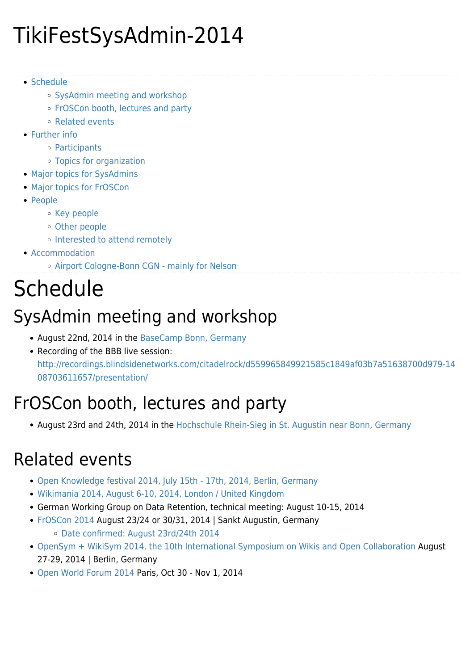## TikiFestSysAdmin-2014

- [Schedule](#page--1-0)
	- [SysAdmin meeting and workshop](#page--1-0)
	- [FrOSCon booth, lectures and party](#page--1-0)
	- [Related events](#page--1-0)
- [Further info](#page--1-0)
	- [Participants](#page--1-0)
	- [Topics for organization](#page--1-0)
- [Major topics for SysAdmins](#page--1-0)
- [Major topics for FrOSCon](#page--1-0)
- [People](#page--1-0)
	- [Key people](#page--1-0)
	- [Other people](#page--1-0)
	- o [Interested to attend remotely](#page--1-0)
- [Accommodation](#page--1-0)
	- [Airport Cologne-Bonn CGN mainly for Nelson](#page--1-0)

## Schedule

### SysAdmin meeting and workshop

- August 22nd, 2014 in the [BaseCamp Bonn, Germany](http://basecamp-bonn.com)
- Recording of the BBB live session: [http://recordings.blindsidenetworks.com/citadelrock/d559965849921585c1849af03b7a51638700d979-14](http://recordings.blindsidenetworks.com/citadelrock/d559965849921585c1849af03b7a51638700d979-1408703611657/presentation/) [08703611657/presentation/](http://recordings.blindsidenetworks.com/citadelrock/d559965849921585c1849af03b7a51638700d979-1408703611657/presentation/)

## FrOSCon booth, lectures and party

• August 23rd and 24th, 2014 in the [Hochschule Rhein-Sieg in St. Augustin near Bonn, Germany](http://www.froscon.de/startseite/)

### Related events

- [Open Knowledge festival 2014, July 15th 17th, 2014, Berlin, Germany](http://2014.okfestival.org/)
- [Wikimania 2014, August 6-10, 2014, London / United Kingdom](https://wikimania2014.wikimedia.org/)
- German Working Group on Data Retention, technical meeting: August 10-15, 2014
- [FrOSCon 2014](http://www.froscon.de/en/) August 23/24 or 30/31, 2014 | Sankt Augustin, Germany
	- [Date confirmed: August 23rd/24th 2014](http://www.froscon.de/en/home/news/?tx_news_pi1%5Bnews%5D=106&tx_news_pi1%5Bcontroller%5D=News&tx_news_pi1%5Baction%5D=detail&cHash=a65c38b9b0934c5ca5d7c11c8c6ba9ff)
- [OpenSym + WikiSym 2014, the 10th International Symposium on Wikis and Open Collaboration](http://www.opensym.org/os2014/) August 27-29, 2014 | Berlin, Germany
- [Open World Forum 2014](http://www.openworldforum.org/) Paris, Oct 30 Nov 1, 2014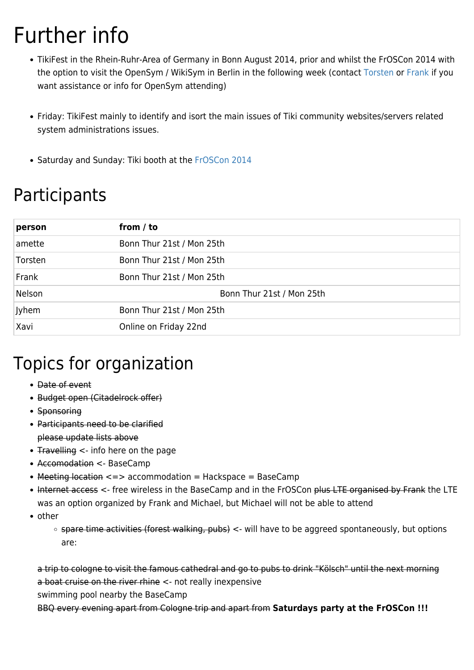## Further info

- TikiFest in the Rhein-Ruhr-Area of Germany in Bonn August 2014, prior and whilst the FrOSCon 2014 with the option to visit the OpenSym / WikiSym in Berlin in the following week (contact [Torsten](mailto:torsten@tiki.org) or [Frank](mailto:fmg@tiki.org) if you want assistance or info for OpenSym attending)
- Friday: TikiFest mainly to identify and isort the main issues of Tiki community websites/servers related system administrations issues.
- Saturday and Sunday: Tiki booth at the [FrOSCon 2014](http://froscon.de)

### Participants

| person  | from / to                 |
|---------|---------------------------|
| amette  | Bonn Thur 21st / Mon 25th |
| Torsten | Bonn Thur 21st / Mon 25th |
| Frank   | Bonn Thur 21st / Mon 25th |
| Nelson  | Bonn Thur 21st / Mon 25th |
| Jyhem   | Bonn Thur 21st / Mon 25th |
| Xavi    | Online on Friday 22nd     |

### Topics for organization

- Date of event
- Budget open (Citadelrock offer)
- Sponsoring
- Participants need to be clarified please update lists above
- Travelling < info here on the page
- Accomodation <- BaseCamp
- Meeting location <=> accommodation = Hackspace = BaseCamp
- Internet access <- free wireless in the BaseCamp and in the FrOSCon plus LTE organised by Frank the LTE was an option organized by Frank and Michael, but Michael will not be able to attend
- other
	- spare time activities (forest walking, pubs) <- will have to be aggreed spontaneously, but options are:

a trip to cologne to visit the famous cathedral and go to pubs to drink "Kölsch" until the next morning a boat cruise on the river rhine <- not really inexpensive

swimming pool nearby the BaseCamp

BBQ every evening apart from Cologne trip and apart from **Saturdays party at the FrOSCon !!!**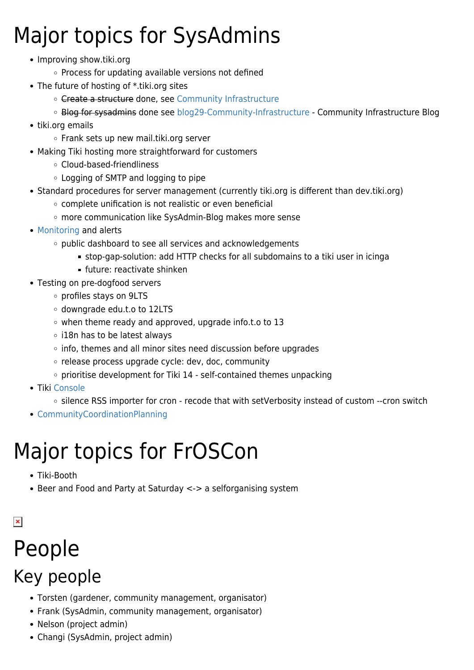## Major topics for SysAdmins

- Improving show.tiki.org
	- o Process for updating available versions not defined
- The future of hosting of \*.tiki.org sites
	- o Create a structure done, see [Community Infrastructure](https://tiki.org/Community-Infrastructure)
	- Blog for sysadmins done see [blog29-Community-Infrastructure](https://tiki.org/blog29-Community-Infrastructure)  [Community Infrastructure Blog](https://tiki.org/tiki-editpage.php?page=Community+Infrastructure+Blog)
- tiki.org emails
	- Frank sets up new mail.tiki.org server
- Making Tiki hosting more straightforward for customers
	- Cloud-based-friendliness
	- Logging of SMTP and logging to pipe
- Standard procedures for server management (currently tiki.org is different than dev.tiki.org)
	- complete unification is not realistic or even beneficial
	- more communication like SysAdmin-Blog makes more sense
- [Monitoring](http://dev.tiki.org/Monitoring) and alerts
	- o public dashboard to see all services and acknowledgements
		- stop-gap-solution: add HTTP checks for all subdomains to a tiki user in icinga
		- future: reactivate shinken
- Testing on pre-dogfood servers
	- profiles stays on 9LTS
	- downgrade edu.t.o to 12LTS
	- when theme ready and approved, upgrade info.t.o to 13
	- o i18n has to be latest always
	- $\circ$  info, themes and all minor sites need discussion before upgrades
	- o release process upgrade cycle: dev, doc, community
	- $\circ$  prioritise development for Tiki 14 self-contained themes unpacking
- Tiki [Console](http://doc.tiki.org/Console)
	- o silence RSS importer for cron recode that with setVerbosity instead of custom --cron switch
- [CommunityCoordinationPlanning](https://tiki.org/CommunityCoordinationPlanning)

## Major topics for FrOSCon

- Tiki-Booth
- Beer and Food and Party at Saturday <-> a selforganising system

 $\pmb{\times}$ 

# People

### Key people

- Torsten (gardener, community management, organisator)
- Frank (SysAdmin, community management, organisator)
- Nelson (project admin)
- Changi (SysAdmin, project admin)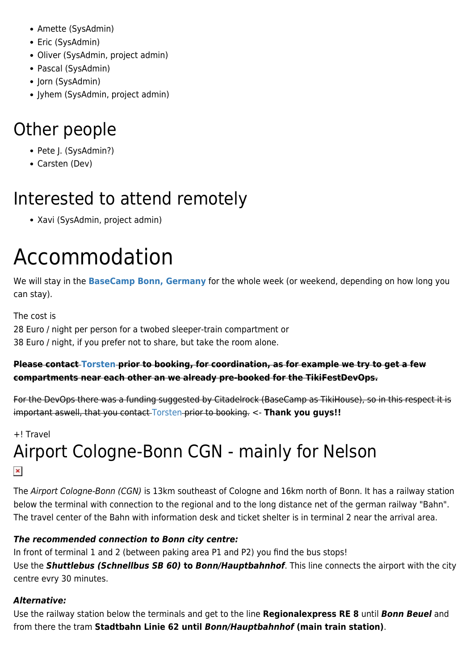- Amette (SysAdmin)
- Eric (SysAdmin)
- Oliver (SysAdmin, project admin)
- Pascal (SysAdmin)
- Jorn (SysAdmin)
- Jyhem (SysAdmin, project admin)

#### Other people

- Pete J. (SysAdmin?)
- Carsten (Dev)

### Interested to attend remotely

Xavi (SysAdmin, project admin)

## Accommodation

We will stay in the **[BaseCamp Bonn, Germany](http://basecamp-bonn.com)** for the whole week (or weekend, depending on how long you can stay).

The cost is 28 Euro / night per person for a twobed sleeper-train compartment or 38 Euro / night, if you prefer not to share, but take the room alone.

#### **Please contact [Torsten](mailto:torsten@tiki.org) prior to booking, for coordination, as for example we try to get a few compartments near each other an we already pre-booked for the TikiFestDevOps.**

For the DevOps there was a funding suggested by Citadelrock (BaseCamp as TikiHouse), so in this respect it is important aswell, that you contact [Torsten](mailto:torsten@tiki.org) prior to booking. <- **Thank you guys!!**

#### +! Travel

#### Airport Cologne-Bonn CGN - mainly for Nelson  $\pmb{\times}$

The Airport Cologne-Bonn (CGN) is 13km southeast of Cologne and 16km north of Bonn. It has a railway station below the terminal with connection to the regional and to the long distance net of the german railway "Bahn". The travel center of the Bahn with information desk and ticket shelter is in terminal 2 near the arrival area.

#### *The recommended connection to Bonn city centre:*

In front of terminal 1 and 2 (between paking area P1 and P2) you find the bus stops! Use the *Shuttlebus (Schnellbus SB 60)* **to** *Bonn/Hauptbahnhof*. This line connects the airport with the city centre evry 30 minutes.

#### *Alternative:*

Use the railway station below the terminals and get to the line **Regionalexpress RE 8** until *Bonn Beuel* and from there the tram **Stadtbahn Linie 62 until** *Bonn/Hauptbahnhof* **(main train station)**.